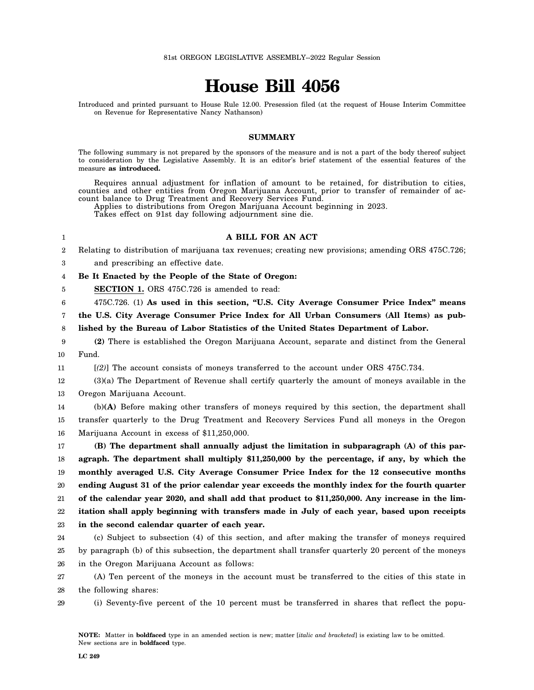# **House Bill 4056**

Introduced and printed pursuant to House Rule 12.00. Presession filed (at the request of House Interim Committee on Revenue for Representative Nancy Nathanson)

### **SUMMARY**

The following summary is not prepared by the sponsors of the measure and is not a part of the body thereof subject to consideration by the Legislative Assembly. It is an editor's brief statement of the essential features of the measure **as introduced.**

Requires annual adjustment for inflation of amount to be retained, for distribution to cities, counties and other entities from Oregon Marijuana Account, prior to transfer of remainder of account balance to Drug Treatment and Recovery Services Fund.

Applies to distributions from Oregon Marijuana Account beginning in 2023.

Takes effect on 91st day following adjournment sine die.

## **A BILL FOR AN ACT**

2 Relating to distribution of marijuana tax revenues; creating new provisions; amending ORS 475C.726;

3 and prescribing an effective date.

1

4 **Be It Enacted by the People of the State of Oregon:**

5 **SECTION 1.** ORS 475C.726 is amended to read:

6 475C.726. (1) **As used in this section, "U.S. City Average Consumer Price Index" means**

7 **the U.S. City Average Consumer Price Index for All Urban Consumers (All Items) as pub-**

8 **lished by the Bureau of Labor Statistics of the United States Department of Labor.**

9 10 **(2)** There is established the Oregon Marijuana Account, separate and distinct from the General Fund.

11 [*(2)*] The account consists of moneys transferred to the account under ORS 475C.734.

12 13 (3)(a) The Department of Revenue shall certify quarterly the amount of moneys available in the Oregon Marijuana Account.

14 15 16 (b)**(A)** Before making other transfers of moneys required by this section, the department shall transfer quarterly to the Drug Treatment and Recovery Services Fund all moneys in the Oregon Marijuana Account in excess of \$11,250,000.

17 18 19 20 21 22 23 **(B) The department shall annually adjust the limitation in subparagraph (A) of this paragraph. The department shall multiply \$11,250,000 by the percentage, if any, by which the monthly averaged U.S. City Average Consumer Price Index for the 12 consecutive months ending August 31 of the prior calendar year exceeds the monthly index for the fourth quarter of the calendar year 2020, and shall add that product to \$11,250,000. Any increase in the limitation shall apply beginning with transfers made in July of each year, based upon receipts in the second calendar quarter of each year.**

24 25 26 (c) Subject to subsection (4) of this section, and after making the transfer of moneys required by paragraph (b) of this subsection, the department shall transfer quarterly 20 percent of the moneys in the Oregon Marijuana Account as follows:

27 28 (A) Ten percent of the moneys in the account must be transferred to the cities of this state in the following shares:

29 (i) Seventy-five percent of the 10 percent must be transferred in shares that reflect the popu-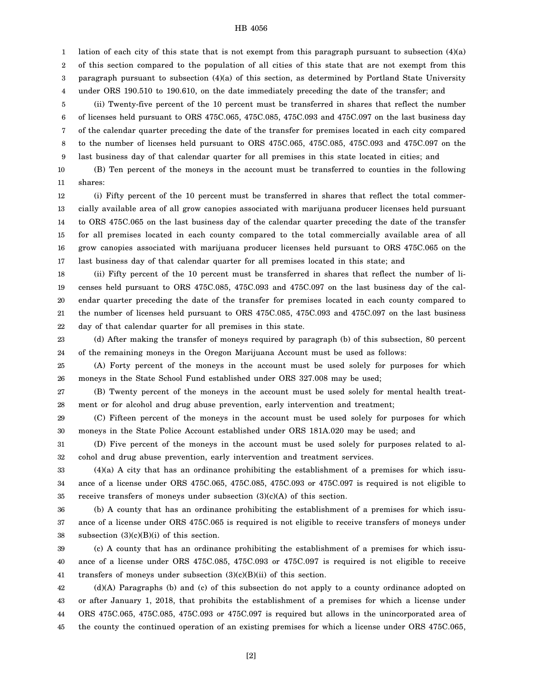### HB 4056

1 2 3 4 lation of each city of this state that is not exempt from this paragraph pursuant to subsection (4)(a) of this section compared to the population of all cities of this state that are not exempt from this paragraph pursuant to subsection (4)(a) of this section, as determined by Portland State University under ORS 190.510 to 190.610, on the date immediately preceding the date of the transfer; and

5 6 7 8 9 (ii) Twenty-five percent of the 10 percent must be transferred in shares that reflect the number of licenses held pursuant to ORS 475C.065, 475C.085, 475C.093 and 475C.097 on the last business day of the calendar quarter preceding the date of the transfer for premises located in each city compared to the number of licenses held pursuant to ORS 475C.065, 475C.085, 475C.093 and 475C.097 on the last business day of that calendar quarter for all premises in this state located in cities; and

10 11 (B) Ten percent of the moneys in the account must be transferred to counties in the following shares:

12 13 14 15 16 17 (i) Fifty percent of the 10 percent must be transferred in shares that reflect the total commercially available area of all grow canopies associated with marijuana producer licenses held pursuant to ORS 475C.065 on the last business day of the calendar quarter preceding the date of the transfer for all premises located in each county compared to the total commercially available area of all grow canopies associated with marijuana producer licenses held pursuant to ORS 475C.065 on the last business day of that calendar quarter for all premises located in this state; and

18 19 20 21 22 (ii) Fifty percent of the 10 percent must be transferred in shares that reflect the number of licenses held pursuant to ORS 475C.085, 475C.093 and 475C.097 on the last business day of the calendar quarter preceding the date of the transfer for premises located in each county compared to the number of licenses held pursuant to ORS 475C.085, 475C.093 and 475C.097 on the last business day of that calendar quarter for all premises in this state.

23 24 (d) After making the transfer of moneys required by paragraph (b) of this subsection, 80 percent of the remaining moneys in the Oregon Marijuana Account must be used as follows:

25 26 (A) Forty percent of the moneys in the account must be used solely for purposes for which moneys in the State School Fund established under ORS 327.008 may be used;

27 28 (B) Twenty percent of the moneys in the account must be used solely for mental health treatment or for alcohol and drug abuse prevention, early intervention and treatment;

29 30 (C) Fifteen percent of the moneys in the account must be used solely for purposes for which moneys in the State Police Account established under ORS 181A.020 may be used; and

31 32 (D) Five percent of the moneys in the account must be used solely for purposes related to alcohol and drug abuse prevention, early intervention and treatment services.

33 34 35 (4)(a) A city that has an ordinance prohibiting the establishment of a premises for which issuance of a license under ORS 475C.065, 475C.085, 475C.093 or 475C.097 is required is not eligible to receive transfers of moneys under subsection  $(3)(c)(A)$  of this section.

36 37 38 (b) A county that has an ordinance prohibiting the establishment of a premises for which issuance of a license under ORS 475C.065 is required is not eligible to receive transfers of moneys under subsection  $(3)(c)(B)(i)$  of this section.

39 40 41 (c) A county that has an ordinance prohibiting the establishment of a premises for which issuance of a license under ORS 475C.085, 475C.093 or 475C.097 is required is not eligible to receive transfers of moneys under subsection (3)(c)(B)(ii) of this section.

42 43 44 45 (d)(A) Paragraphs (b) and (c) of this subsection do not apply to a county ordinance adopted on or after January 1, 2018, that prohibits the establishment of a premises for which a license under ORS 475C.065, 475C.085, 475C.093 or 475C.097 is required but allows in the unincorporated area of the county the continued operation of an existing premises for which a license under ORS 475C.065,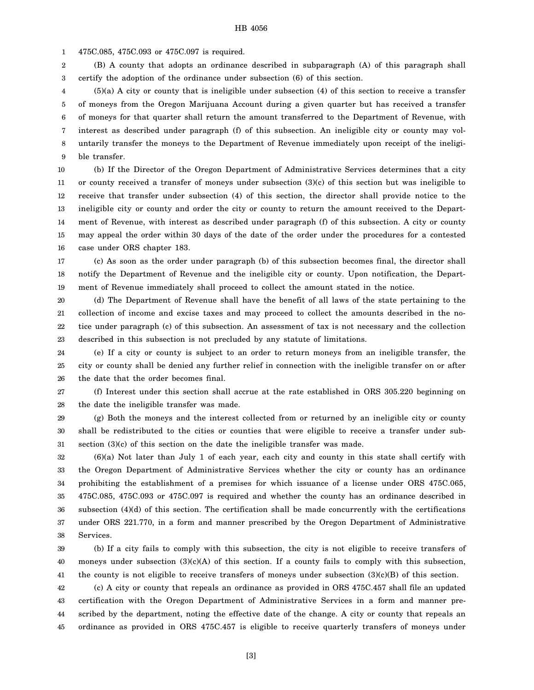1 475C.085, 475C.093 or 475C.097 is required.

2 3 (B) A county that adopts an ordinance described in subparagraph (A) of this paragraph shall certify the adoption of the ordinance under subsection (6) of this section.

4 5 6 7 8 9 (5)(a) A city or county that is ineligible under subsection (4) of this section to receive a transfer of moneys from the Oregon Marijuana Account during a given quarter but has received a transfer of moneys for that quarter shall return the amount transferred to the Department of Revenue, with interest as described under paragraph (f) of this subsection. An ineligible city or county may voluntarily transfer the moneys to the Department of Revenue immediately upon receipt of the ineligible transfer.

10 11 12 13 14 15 16 (b) If the Director of the Oregon Department of Administrative Services determines that a city or county received a transfer of moneys under subsection (3)(c) of this section but was ineligible to receive that transfer under subsection (4) of this section, the director shall provide notice to the ineligible city or county and order the city or county to return the amount received to the Department of Revenue, with interest as described under paragraph (f) of this subsection. A city or county may appeal the order within 30 days of the date of the order under the procedures for a contested case under ORS chapter 183.

17 18 19 (c) As soon as the order under paragraph (b) of this subsection becomes final, the director shall notify the Department of Revenue and the ineligible city or county. Upon notification, the Department of Revenue immediately shall proceed to collect the amount stated in the notice.

20 21 22 23 (d) The Department of Revenue shall have the benefit of all laws of the state pertaining to the collection of income and excise taxes and may proceed to collect the amounts described in the notice under paragraph (c) of this subsection. An assessment of tax is not necessary and the collection described in this subsection is not precluded by any statute of limitations.

24 25 26 (e) If a city or county is subject to an order to return moneys from an ineligible transfer, the city or county shall be denied any further relief in connection with the ineligible transfer on or after the date that the order becomes final.

27 28 (f) Interest under this section shall accrue at the rate established in ORS 305.220 beginning on the date the ineligible transfer was made.

29 30 31 (g) Both the moneys and the interest collected from or returned by an ineligible city or county shall be redistributed to the cities or counties that were eligible to receive a transfer under subsection (3)(c) of this section on the date the ineligible transfer was made.

32 33 34 35 36 37 38 (6)(a) Not later than July 1 of each year, each city and county in this state shall certify with the Oregon Department of Administrative Services whether the city or county has an ordinance prohibiting the establishment of a premises for which issuance of a license under ORS 475C.065, 475C.085, 475C.093 or 475C.097 is required and whether the county has an ordinance described in subsection (4)(d) of this section. The certification shall be made concurrently with the certifications under ORS 221.770, in a form and manner prescribed by the Oregon Department of Administrative Services.

39 40 41 (b) If a city fails to comply with this subsection, the city is not eligible to receive transfers of moneys under subsection (3)(c)(A) of this section. If a county fails to comply with this subsection, the county is not eligible to receive transfers of moneys under subsection  $(3)(c)(B)$  of this section.

42 43 44 45 (c) A city or county that repeals an ordinance as provided in ORS 475C.457 shall file an updated certification with the Oregon Department of Administrative Services in a form and manner prescribed by the department, noting the effective date of the change. A city or county that repeals an ordinance as provided in ORS 475C.457 is eligible to receive quarterly transfers of moneys under